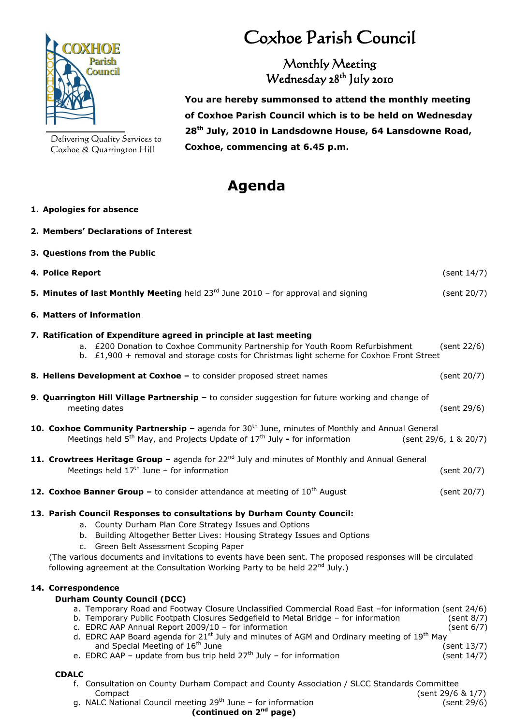

Delivering Quality Services to Coxhoe & Quarrington Hill

**2. Members' Declarations of Interest**

## Coxhoe Parish Council

## Monthly Meeting Wednesday 28<sup>th</sup> July 2010

 **You are hereby summonsed to attend the monthly meeting of Coxhoe Parish Council which is to be held on Wednesday 28 th July, 2010 in Landsdowne House, 64 Lansdowne Road, Coxhoe, commencing at 6.45 p.m.**

## **Agenda**

## **1. Apologies for absence**

| 3. Questions from the Public                                                                                                                                                                                                                                                                                                                                                                                                                                                                                                                                                 |                                                           |
|------------------------------------------------------------------------------------------------------------------------------------------------------------------------------------------------------------------------------------------------------------------------------------------------------------------------------------------------------------------------------------------------------------------------------------------------------------------------------------------------------------------------------------------------------------------------------|-----------------------------------------------------------|
| 4. Police Report                                                                                                                                                                                                                                                                                                                                                                                                                                                                                                                                                             | (sent $14/7$ )                                            |
| <b>5. Minutes of last Monthly Meeting</b> held $23^{rd}$ June 2010 - for approval and signing                                                                                                                                                                                                                                                                                                                                                                                                                                                                                | (sent 20/7)                                               |
| 6. Matters of information                                                                                                                                                                                                                                                                                                                                                                                                                                                                                                                                                    |                                                           |
| 7. Ratification of Expenditure agreed in principle at last meeting<br>a. £200 Donation to Coxhoe Community Partnership for Youth Room Refurbishment<br>b. £1,900 + removal and storage costs for Christmas light scheme for Coxhoe Front Street                                                                                                                                                                                                                                                                                                                              | (sent 22/6)                                               |
| 8. Hellens Development at Coxhoe - to consider proposed street names                                                                                                                                                                                                                                                                                                                                                                                                                                                                                                         | (sent 20/7)                                               |
| 9. Quarrington Hill Village Partnership - to consider suggestion for future working and change of<br>meeting dates                                                                                                                                                                                                                                                                                                                                                                                                                                                           | (sent 29/6)                                               |
| 10. Coxhoe Community Partnership - agenda for 30 <sup>th</sup> June, minutes of Monthly and Annual General<br>Meetings held 5 <sup>th</sup> May, and Projects Update of 17 <sup>th</sup> July - for information                                                                                                                                                                                                                                                                                                                                                              | (sent 29/6, 1 & 20/7)                                     |
| 11. Crowtrees Heritage Group - agenda for 22 <sup>nd</sup> July and minutes of Monthly and Annual General<br>Meetings held $17th$ June - for information                                                                                                                                                                                                                                                                                                                                                                                                                     | (sent 20/7)                                               |
| <b>12. Coxhoe Banner Group - to consider attendance at meeting of <math>10^{th}</math> August</b>                                                                                                                                                                                                                                                                                                                                                                                                                                                                            | (sent 20/7)                                               |
| 13. Parish Council Responses to consultations by Durham County Council:<br>a. County Durham Plan Core Strategy Issues and Options<br>b. Building Altogether Better Lives: Housing Strategy Issues and Options<br>c. Green Belt Assessment Scoping Paper<br>(The various documents and invitations to events have been sent. The proposed responses will be circulated<br>following agreement at the Consultation Working Party to be held 22 <sup>nd</sup> July.)                                                                                                            |                                                           |
| 14. Correspondence<br><b>Durham County Council (DCC)</b><br>a. Temporary Road and Footway Closure Unclassified Commercial Road East -for information (sent 24/6)<br>b. Temporary Public Footpath Closures Sedgefield to Metal Bridge - for information<br>c. EDRC AAP Annual Report 2009/10 - for information<br>d. EDRC AAP Board agenda for 21 <sup>st</sup> July and minutes of AGM and Ordinary meeting of 19 <sup>th</sup> May<br>and Special Meeting of 16 <sup>th</sup> June<br>e. EDRC AAP - update from bus trip held $27th$ July - for information<br><b>CDALC</b> | (sent 8/7)<br>(sent 6/7)<br>(sent 13/7)<br>(sent $14/7$ ) |
| f. Consultation on County Durham Compact and County Association / SLCC Standards Committee                                                                                                                                                                                                                                                                                                                                                                                                                                                                                   |                                                           |

Compact (sent 29/6 & 1/7) g. NALC National Council meeting  $29<sup>th</sup>$  June – for information (sent 29/6)